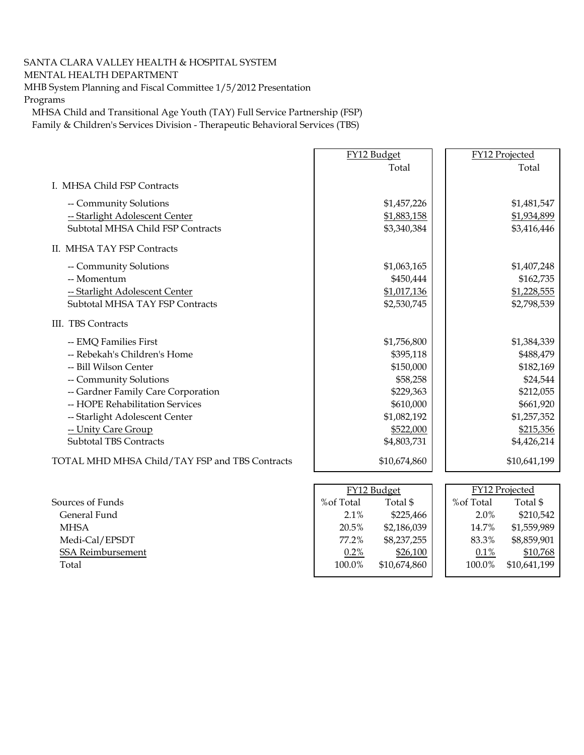## SANTA CLARA VALLEY HEALTH & HOSPITAL SYSTEM

## MENTAL HEALTH DEPARTMENT

MHB System Planning and Fiscal Committee 1/5/2012 Presentation Programs

MHSA Child and Transitional Age Youth (TAY) Full Service Partnership (FSP) Family & Children's Services Division - Therapeutic Behavioral Services (TBS)

|                                                | FY12 Budget |              |                | FY12 Projected |
|------------------------------------------------|-------------|--------------|----------------|----------------|
|                                                |             | Total        |                | Total          |
| I. MHSA Child FSP Contracts                    |             |              |                |                |
| -- Community Solutions                         |             | \$1,457,226  |                | \$1,481,547    |
| -- Starlight Adolescent Center                 |             | \$1,883,158  |                | \$1,934,899    |
| Subtotal MHSA Child FSP Contracts              |             | \$3,340,384  |                | \$3,416,446    |
| II. MHSA TAY FSP Contracts                     |             |              |                |                |
| -- Community Solutions                         |             | \$1,063,165  |                | \$1,407,248    |
| -- Momentum                                    |             | \$450,444    |                | \$162,735      |
| -- Starlight Adolescent Center                 |             | \$1,017,136  |                | \$1,228,555    |
| Subtotal MHSA TAY FSP Contracts                |             | \$2,530,745  |                | \$2,798,539    |
| III. TBS Contracts                             |             |              |                |                |
| -- EMQ Families First                          |             | \$1,756,800  |                | \$1,384,339    |
| -- Rebekah's Children's Home                   |             | \$395,118    |                | \$488,479      |
| -- Bill Wilson Center                          |             | \$150,000    |                | \$182,169      |
| -- Community Solutions                         |             | \$58,258     |                | \$24,544       |
| -- Gardner Family Care Corporation             |             | \$229,363    |                | \$212,055      |
| -- HOPE Rehabilitation Services                |             | \$610,000    |                | \$661,920      |
| -- Starlight Adolescent Center                 |             | \$1,082,192  |                | \$1,257,352    |
| -- Unity Care Group                            |             | \$522,000    |                | \$215,356      |
| <b>Subtotal TBS Contracts</b>                  |             | \$4,803,731  |                | \$4,426,214    |
| TOTAL MHD MHSA Child/TAY FSP and TBS Contracts |             | \$10,674,860 |                | \$10,641,199   |
|                                                |             |              |                |                |
|                                                | FY12 Budget |              | FY12 Projected |                |
| Sources of Funds                               | %of Total   | Total \$     | %of Total      | Total \$       |
| General Fund                                   | 2.1%        | \$225,466    | 2.0%           | \$210,542      |
| <b>MHSA</b>                                    | 20.5%       | \$2,186,039  | 14.7%          | \$1,559,989    |
| Medi-Cal/EPSDT                                 | 77.2%       | \$8,237,255  | 83.3%          | \$8,859,901    |
| SSA Reimbursement                              | 0.2%        | \$26,100     | $0.1\%$        | \$10,768       |
| Total                                          | 100.0%      | \$10,674,860 | 100.0%         | \$10,641,199   |